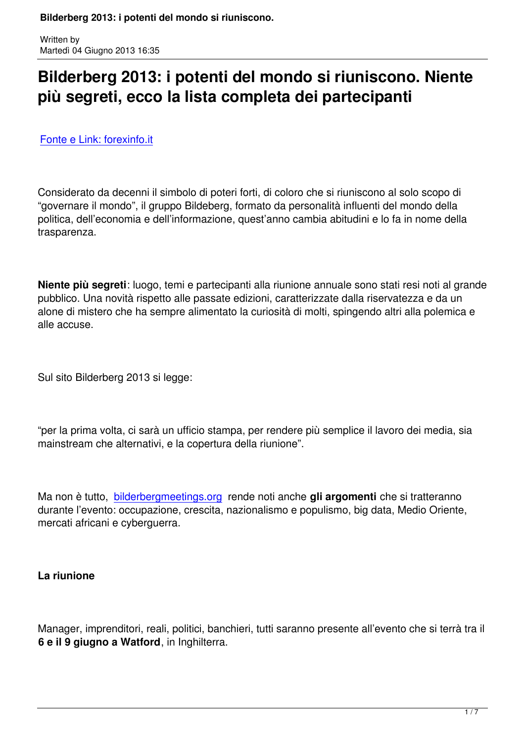# **Bilderberg 2013: i potenti del mondo si riuniscono. Niente più segreti, ecco la lista completa dei partecipanti**

Fonte e Link: forexinfo.it

[Considerato da decenni i](http://www.forexinfo.it/Bilderberg-2013-i-potenti-del?utm_source=Forexinfo+Forex+Trading+Online&utm_campaign=b51f4c92e7-forexinfo-daily-email&utm_medium=email&utm_term=0_4302bacf08-b51f4c92e7-302716845)l simbolo di poteri forti, di coloro che si riuniscono al solo scopo di "governare il mondo", il gruppo Bildeberg, formato da personalità influenti del mondo della politica, dell'economia e dell'informazione, quest'anno cambia abitudini e lo fa in nome della trasparenza.

**Niente più segreti**: luogo, temi e partecipanti alla riunione annuale sono stati resi noti al grande pubblico. Una novità rispetto alle passate edizioni, caratterizzate dalla riservatezza e da un alone di mistero che ha sempre alimentato la curiosità di molti, spingendo altri alla polemica e alle accuse.

Sul sito Bilderberg 2013 si legge:

"per la prima volta, ci sarà un ufficio stampa, per rendere più semplice il lavoro dei media, sia mainstream che alternativi, e la copertura della riunione".

Ma non è tutto, bilderbergmeetings.org rende noti anche **gli argomenti** che si tratteranno durante l'evento: occupazione, crescita, nazionalismo e populismo, big data, Medio Oriente, mercati africani e cyberguerra.

### **La riunione**

Manager, imprenditori, reali, politici, banchieri, tutti saranno presente all'evento che si terrà tra il **6 e il 9 giugno a Watford**, in Inghilterra.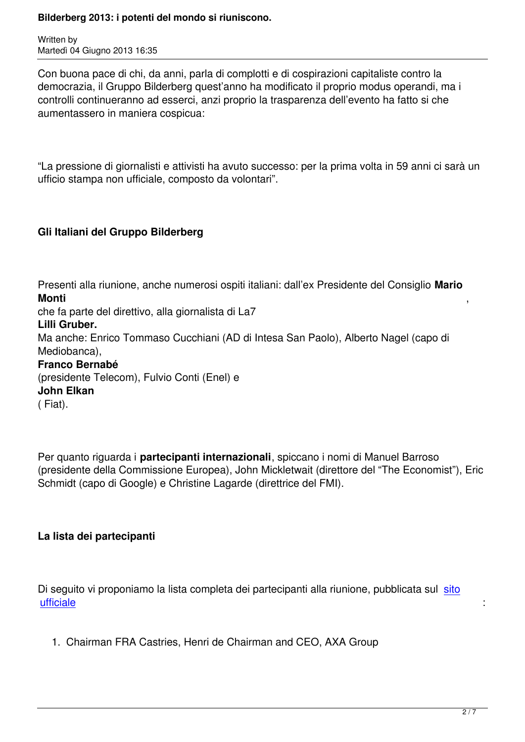Written by

Con buona pace di chi, da anni, parla di complotti e di cospirazioni capitaliste contro la democrazia, il Gruppo Bilderberg quest'anno ha modificato il proprio modus operandi, ma i controlli continueranno ad esserci, anzi proprio la trasparenza dell'evento ha fatto si che aumentassero in maniera cospicua:

"La pressione di giornalisti e attivisti ha avuto successo: per la prima volta in 59 anni ci sarà un ufficio stampa non ufficiale, composto da volontari".

# **Gli Italiani del Gruppo Bilderberg**

Presenti alla riunione, anche numerosi ospiti italiani: dall'ex Presidente del Consiglio **Mario Monti** , che fa parte del direttivo, alla giornalista di La7 **Lilli Gruber.** Ma anche: Enrico Tommaso Cucchiani (AD di Intesa San Paolo), Alberto Nagel (capo di Mediobanca), **Franco Bernabé**  (presidente Telecom), Fulvio Conti (Enel) e **John Elkan** ( Fiat).

Per quanto riguarda i **partecipanti internazionali**, spiccano i nomi di Manuel Barroso (presidente della Commissione Europea), John Mickletwait (direttore del "The Economist"), Eric Schmidt (capo di Google) e Christine Lagarde (direttrice del FMI).

### **La lista dei partecipanti**

Di seguito vi proponiamo la lista completa dei partecipanti alla riunione, pubblicata sul sito ufficiale : the state of the state of the state of the state of the state of the state  $\sim$  .

 [1. Ch](http://www.bilderbergmeetings.org/participants2013.html)airman FRA Castries, Henri de Chairman and CEO, AXA Group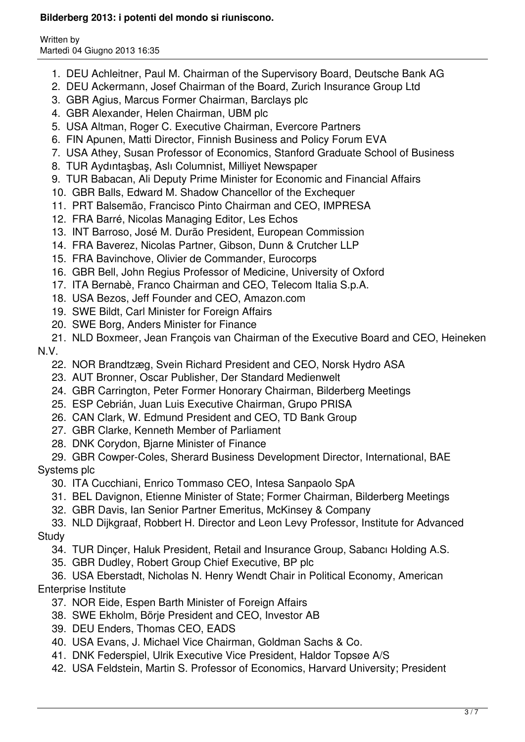Written by Martedì 04 Giugno 2013 16:35

- 1. DEU Achleitner, Paul M. Chairman of the Supervisory Board, Deutsche Bank AG
- 2. DEU Ackermann, Josef Chairman of the Board, Zurich Insurance Group Ltd
- 3. GBR Agius, Marcus Former Chairman, Barclays plc
- 4. GBR Alexander, Helen Chairman, UBM plc
- 5. USA Altman, Roger C. Executive Chairman, Evercore Partners
- 6. FIN Apunen, Matti Director, Finnish Business and Policy Forum EVA
- 7. USA Athey, Susan Professor of Economics, Stanford Graduate School of Business
- 8. TUR Aydıntaşbaş, Aslı Columnist, Milliyet Newspaper
- 9. TUR Babacan, Ali Deputy Prime Minister for Economic and Financial Affairs
- 10. GBR Balls, Edward M. Shadow Chancellor of the Exchequer
- 11. PRT Balsemão, Francisco Pinto Chairman and CEO, IMPRESA
- 12. FRA Barré, Nicolas Managing Editor, Les Echos
- 13. INT Barroso, José M. Durão President, European Commission
- 14. FRA Baverez, Nicolas Partner, Gibson, Dunn & Crutcher LLP
- 15. FRA Bavinchove, Olivier de Commander, Eurocorps
- 16. GBR Bell, John Regius Professor of Medicine, University of Oxford
- 17. ITA Bernabè, Franco Chairman and CEO, Telecom Italia S.p.A.
- 18. USA Bezos, Jeff Founder and CEO, Amazon.com
- 19. SWE Bildt, Carl Minister for Foreign Affairs
- 20. SWE Borg, Anders Minister for Finance
- 21. NLD Boxmeer, Jean François van Chairman of the Executive Board and CEO, Heineken N.V.
	- 22. NOR Brandtzæg, Svein Richard President and CEO, Norsk Hydro ASA
	- 23. AUT Bronner, Oscar Publisher, Der Standard Medienwelt
	- 24. GBR Carrington, Peter Former Honorary Chairman, Bilderberg Meetings
	- 25. ESP Cebrián, Juan Luis Executive Chairman, Grupo PRISA
	- 26. CAN Clark, W. Edmund President and CEO, TD Bank Group
	- 27. GBR Clarke, Kenneth Member of Parliament
	- 28. DNK Corydon, Bjarne Minister of Finance
- 29. GBR Cowper-Coles, Sherard Business Development Director, International, BAE Systems plc
	- 30. ITA Cucchiani, Enrico Tommaso CEO, Intesa Sanpaolo SpA
	- 31. BEL Davignon, Etienne Minister of State; Former Chairman, Bilderberg Meetings
	- 32. GBR Davis, Ian Senior Partner Emeritus, McKinsey & Company
- 33. NLD Dijkgraaf, Robbert H. Director and Leon Levy Professor, Institute for Advanced **Study** 
	- 34. TUR Dinçer, Haluk President, Retail and Insurance Group, Sabancı Holding A.S.
	- 35. GBR Dudley, Robert Group Chief Executive, BP plc
- 36. USA Eberstadt, Nicholas N. Henry Wendt Chair in Political Economy, American Enterprise Institute
	- 37. NOR Eide, Espen Barth Minister of Foreign Affairs
	- 38. SWE Ekholm, Börje President and CEO, Investor AB
	- 39. DEU Enders, Thomas CEO, EADS
	- 40. USA Evans, J. Michael Vice Chairman, Goldman Sachs & Co.
	- 41. DNK Federspiel, Ulrik Executive Vice President, Haldor Topsøe A/S
	- 42. USA Feldstein, Martin S. Professor of Economics, Harvard University; President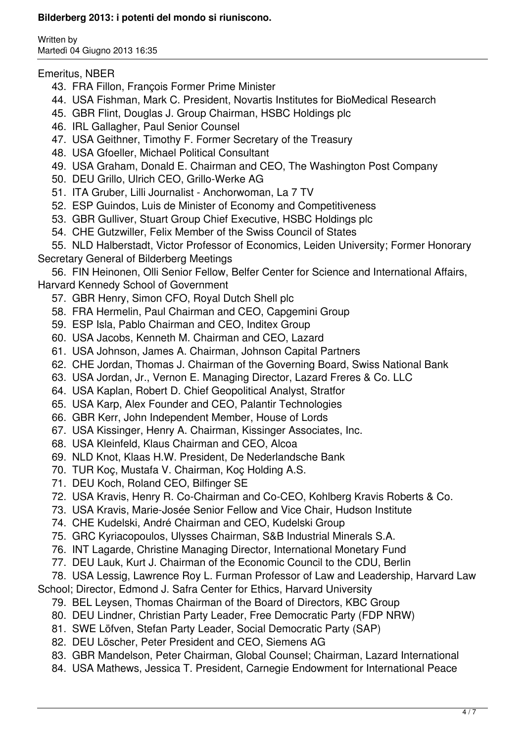Written by Martedì 04 Giugno 2013 16:35

#### Emeritus, NBER

- 43. FRA Fillon, François Former Prime Minister
- 44. USA Fishman, Mark C. President, Novartis Institutes for BioMedical Research
- 45. GBR Flint, Douglas J. Group Chairman, HSBC Holdings plc
- 46. IRL Gallagher, Paul Senior Counsel
- 47. USA Geithner, Timothy F. Former Secretary of the Treasury
- 48. USA Gfoeller, Michael Political Consultant
- 49. USA Graham, Donald E. Chairman and CEO, The Washington Post Company
- 50. DEU Grillo, Ulrich CEO, Grillo-Werke AG
- 51. ITA Gruber, Lilli Journalist Anchorwoman, La 7 TV
- 52. ESP Guindos, Luis de Minister of Economy and Competitiveness
- 53. GBR Gulliver, Stuart Group Chief Executive, HSBC Holdings plc
- 54. CHE Gutzwiller, Felix Member of the Swiss Council of States

 55. NLD Halberstadt, Victor Professor of Economics, Leiden University; Former Honorary Secretary General of Bilderberg Meetings

 56. FIN Heinonen, Olli Senior Fellow, Belfer Center for Science and International Affairs, Harvard Kennedy School of Government

- 57. GBR Henry, Simon CFO, Royal Dutch Shell plc
- 58. FRA Hermelin, Paul Chairman and CEO, Capgemini Group
- 59. ESP Isla, Pablo Chairman and CEO, Inditex Group
- 60. USA Jacobs, Kenneth M. Chairman and CEO, Lazard
- 61. USA Johnson, James A. Chairman, Johnson Capital Partners
- 62. CHE Jordan, Thomas J. Chairman of the Governing Board, Swiss National Bank
- 63. USA Jordan, Jr., Vernon E. Managing Director, Lazard Freres & Co. LLC
- 64. USA Kaplan, Robert D. Chief Geopolitical Analyst, Stratfor
- 65. USA Karp, Alex Founder and CEO, Palantir Technologies
- 66. GBR Kerr, John Independent Member, House of Lords
- 67. USA Kissinger, Henry A. Chairman, Kissinger Associates, Inc.
- 68. USA Kleinfeld, Klaus Chairman and CEO, Alcoa
- 69. NLD Knot, Klaas H.W. President, De Nederlandsche Bank
- 70. TUR Koç, Mustafa V. Chairman, Koç Holding A.S.
- 71. DEU Koch, Roland CEO, Bilfinger SE
- 72. USA Kravis, Henry R. Co-Chairman and Co-CEO, Kohlberg Kravis Roberts & Co.
- 73. USA Kravis, Marie-Josée Senior Fellow and Vice Chair, Hudson Institute
- 74. CHE Kudelski, André Chairman and CEO, Kudelski Group
- 75. GRC Kyriacopoulos, Ulysses Chairman, S&B Industrial Minerals S.A.
- 76. INT Lagarde, Christine Managing Director, International Monetary Fund
- 77. DEU Lauk, Kurt J. Chairman of the Economic Council to the CDU, Berlin

78. USA Lessig, Lawrence Roy L. Furman Professor of Law and Leadership, Harvard Law

- School; Director, Edmond J. Safra Center for Ethics, Harvard University
	- 79. BEL Leysen, Thomas Chairman of the Board of Directors, KBC Group
	- 80. DEU Lindner, Christian Party Leader, Free Democratic Party (FDP NRW)
	- 81. SWE Löfven, Stefan Party Leader, Social Democratic Party (SAP)
	- 82. DEU Löscher, Peter President and CEO, Siemens AG
	- 83. GBR Mandelson, Peter Chairman, Global Counsel; Chairman, Lazard International
	- 84. USA Mathews, Jessica T. President, Carnegie Endowment for International Peace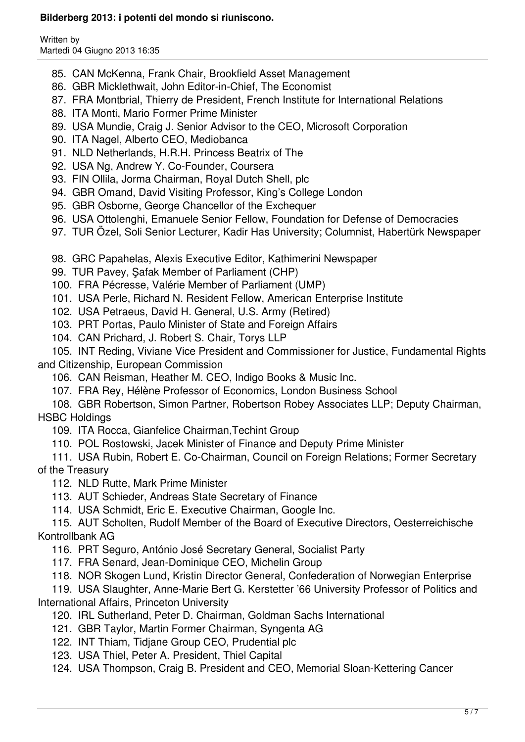Written by Martedì 04 Giugno 2013 16:35

- 85. CAN McKenna, Frank Chair, Brookfield Asset Management
- 86. GBR Micklethwait, John Editor-in-Chief, The Economist
- 87. FRA Montbrial, Thierry de President, French Institute for International Relations
- 88. ITA Monti, Mario Former Prime Minister
- 89. USA Mundie, Craig J. Senior Advisor to the CEO, Microsoft Corporation
- 90. ITA Nagel, Alberto CEO, Mediobanca
- 91. NLD Netherlands, H.R.H. Princess Beatrix of The
- 92. USA Ng, Andrew Y. Co-Founder, Coursera
- 93. FIN Ollila, Jorma Chairman, Royal Dutch Shell, plc
- 94. GBR Omand, David Visiting Professor, King's College London
- 95. GBR Osborne, George Chancellor of the Exchequer
- 96. USA Ottolenghi, Emanuele Senior Fellow, Foundation for Defense of Democracies
- 97. TUR Özel, Soli Senior Lecturer, Kadir Has University; Columnist, Habertürk Newspaper
- 98. GRC Papahelas, Alexis Executive Editor, Kathimerini Newspaper
- 99. TUR Pavey, Şafak Member of Parliament (CHP)
- 100. FRA Pécresse, Valérie Member of Parliament (UMP)
- 101. USA Perle, Richard N. Resident Fellow, American Enterprise Institute
- 102. USA Petraeus, David H. General, U.S. Army (Retired)
- 103. PRT Portas, Paulo Minister of State and Foreign Affairs
- 104. CAN Prichard, J. Robert S. Chair, Torys LLP

 105. INT Reding, Viviane Vice President and Commissioner for Justice, Fundamental Rights and Citizenship, European Commission

- 106. CAN Reisman, Heather M. CEO, Indigo Books & Music Inc.
- 107. FRA Rey, Hélène Professor of Economics, London Business School
- 108. GBR Robertson, Simon Partner, Robertson Robey Associates LLP; Deputy Chairman, HSBC Holdings
	- 109. ITA Rocca, Gianfelice Chairman,Techint Group
	- 110. POL Rostowski, Jacek Minister of Finance and Deputy Prime Minister
- 111. USA Rubin, Robert E. Co-Chairman, Council on Foreign Relations; Former Secretary of the Treasury
	- 112. NLD Rutte, Mark Prime Minister
	- 113. AUT Schieder, Andreas State Secretary of Finance
	- 114. USA Schmidt, Eric E. Executive Chairman, Google Inc.

 115. AUT Scholten, Rudolf Member of the Board of Executive Directors, Oesterreichische Kontrollbank AG

- 116. PRT Seguro, António José Secretary General, Socialist Party
- 117. FRA Senard, Jean-Dominique CEO, Michelin Group
- 118. NOR Skogen Lund, Kristin Director General, Confederation of Norwegian Enterprise

 119. USA Slaughter, Anne-Marie Bert G. Kerstetter '66 University Professor of Politics and International Affairs, Princeton University

- 120. IRL Sutherland, Peter D. Chairman, Goldman Sachs International
- 121. GBR Taylor, Martin Former Chairman, Syngenta AG
- 122. INT Thiam, Tidjane Group CEO, Prudential plc
- 123. USA Thiel, Peter A. President, Thiel Capital

124. USA Thompson, Craig B. President and CEO, Memorial Sloan-Kettering Cancer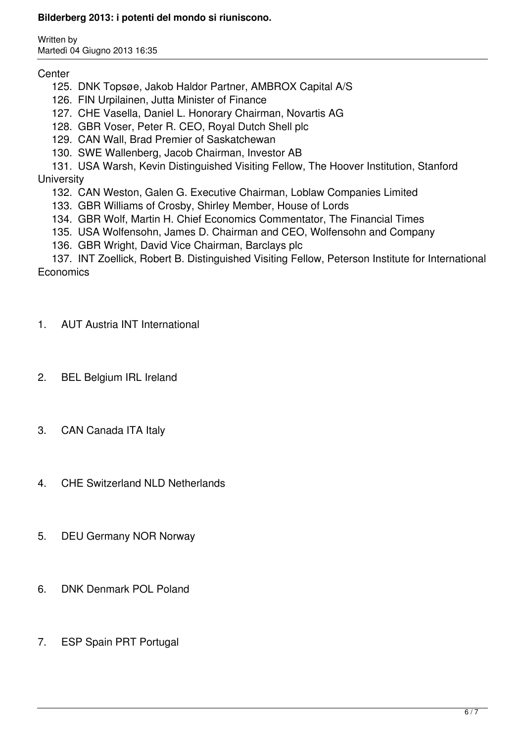Written by Martedì 04 Giugno 2013 16:35

## **Center**

- 125. DNK Topsøe, Jakob Haldor Partner, AMBROX Capital A/S
- 126. FIN Urpilainen, Jutta Minister of Finance
- 127. CHE Vasella, Daniel L. Honorary Chairman, Novartis AG
- 128. GBR Voser, Peter R. CEO, Royal Dutch Shell plc
- 129. CAN Wall, Brad Premier of Saskatchewan
- 130. SWE Wallenberg, Jacob Chairman, Investor AB
- 131. USA Warsh, Kevin Distinguished Visiting Fellow, The Hoover Institution, Stanford **University** 
	- 132. CAN Weston, Galen G. Executive Chairman, Loblaw Companies Limited
	- 133. GBR Williams of Crosby, Shirley Member, House of Lords
	- 134. GBR Wolf, Martin H. Chief Economics Commentator, The Financial Times
	- 135. USA Wolfensohn, James D. Chairman and CEO, Wolfensohn and Company
	- 136. GBR Wright, David Vice Chairman, Barclays plc

 137. INT Zoellick, Robert B. Distinguished Visiting Fellow, Peterson Institute for International **Economics** 

- 1. AUT Austria INT International
- 2. BEL Belgium IRL Ireland
- 3. CAN Canada ITA Italy
- 4. CHE Switzerland NLD Netherlands
- 5. DEU Germany NOR Norway
- 6. DNK Denmark POL Poland
- 7. ESP Spain PRT Portugal